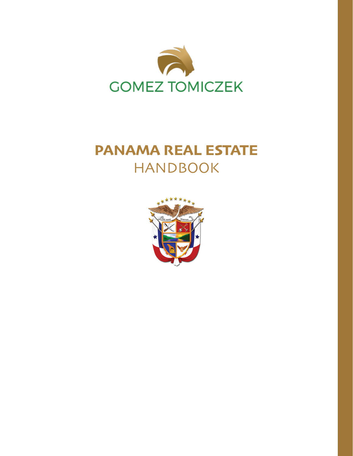

# **PANAMA REAL ESTATE** HANDBOOK

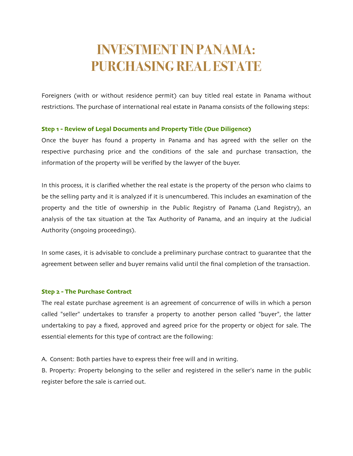# **INVESTMENT IN PANAMA: PURCHASING REAL ESTATE**

Foreigners (with or without residence permit) can buy titled real estate in Panama without restrictions. The purchase of international real estate in Panama consists of the following steps:

## **Step 1 - Review of Legal Documents and Property Title (Due Diligence)**

Once the buyer has found a property in Panama and has agreed with the seller on the respective purchasing price and the conditions of the sale and purchase transaction, the information of the property will be verified by the lawyer of the buyer.

In this process, it is clarified whether the real estate is the property of the person who claims to be the selling party and it is analyzed if it is unencumbered. This includes an examination of the property and the title of ownership in the Public Registry of Panama (Land Registry), an analysis of the tax situation at the Tax Authority of Panama, and an inquiry at the Judicial Authority (ongoing proceedings).

In some cases, it is advisable to conclude a preliminary purchase contract to guarantee that the agreement between seller and buyer remains valid until the final completion of the transaction.

#### **Step 2 - The Purchase Contract**

The real estate purchase agreement is an agreement of concurrence of wills in which a person called "seller" undertakes to transfer a property to another person called "buyer", the latter undertaking to pay a fixed, approved and agreed price for the property or object for sale. The essential elements for this type of contract are the following:

A. Consent: Both parties have to express their free will and in writing.

B. Property: Property belonging to the seller and registered in the seller's name in the public register before the sale is carried out.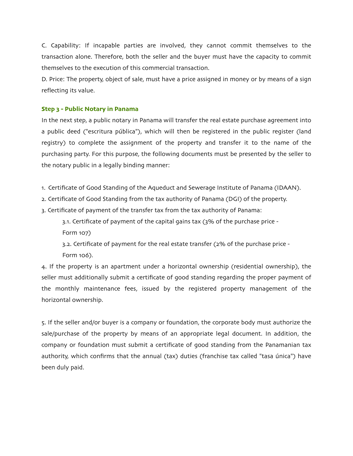C. Capability: If incapable parties are involved, they cannot commit themselves to the transaction alone. Therefore, both the seller and the buyer must have the capacity to commit themselves to the execution of this commercial transaction.

D. Price: The property, object of sale, must have a price assigned in money or by means of a sign reflecting its value.

# **Step 3 - Public Notary in Panama**

In the next step, a public notary in Panama will transfer the real estate purchase agreement into a public deed ("escritura pública"), which will then be registered in the public register (land registry) to complete the assignment of the property and transfer it to the name of the purchasing party. For this purpose, the following documents must be presented by the seller to the notary public in a legally binding manner:

- 1. Certificate of Good Standing of the Aqueduct and Sewerage Institute of Panama (IDAAN).
- 2. Certificate of Good Standing from the tax authority of Panama (DGI) of the property.
- 3. Certificate of payment of the transfer tax from the tax authority of Panama:
	- 3.1. Certificate of payment of the capital gains tax (3% of the purchase price Form 107)
	- 3.2. Certificate of payment for the real estate transfer (2% of the purchase price Form 106).

4. If the property is an apartment under a horizontal ownership (residential ownership), the seller must additionally submit a certificate of good standing regarding the proper payment of the monthly maintenance fees, issued by the registered property management of the horizontal ownership.

5. If the seller and/or buyer is a company or foundation, the corporate body must authorize the sale/purchase of the property by means of an appropriate legal document. In addition, the company or foundation must submit a certificate of good standing from the Panamanian tax authority, which confirms that the annual (tax) duties (franchise tax called "tasa única") have been duly paid.